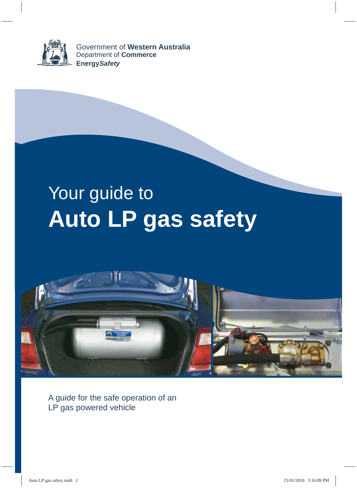

Government of **Western Australia** Department of **Commerce Energy***Safety*

# Your guide to **Auto LP gas safety**



A guide for the safe operation of an LP gas powered vehicle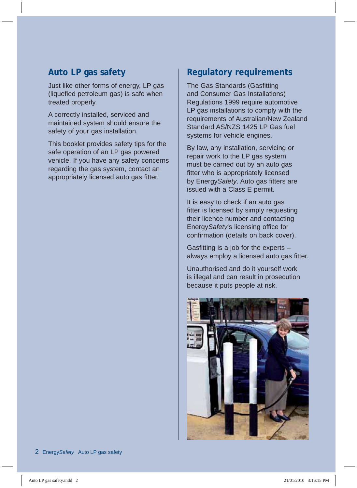## **Auto LP gas safety**

Just like other forms of energy, LP gas (liquefied petroleum gas) is safe when treated properly.

A correctly installed, serviced and maintained system should ensure the safety of your gas installation.

This booklet provides safety tips for the safe operation of an LP gas powered vehicle. If you have any safety concerns regarding the gas system, contact an appropriately licensed auto gas fitter.

## **Regulatory requirements**

The Gas Standards (Gasfitting and Consumer Gas Installations) Regulations 1999 require automotive LP gas installations to comply with the requirements of Australian/New Zealand Standard AS/NZS 1425 LP Gas fuel systems for vehicle engines.

By law, any installation, servicing or repair work to the LP gas system must be carried out by an auto gas fitter who is appropriately licensed by Energy*Safety*. Auto gas fitters are issued with a Class E permit.

It is easy to check if an auto gas fitter is licensed by simply requesting their licence number and contacting Energy*Safety*'s licensing office for confirmation (details on back cover).

Gasfitting is a job for the experts – always employ a licensed auto gas fitter.

Unauthorised and do it yourself work is illegal and can result in prosecution because it puts people at risk.

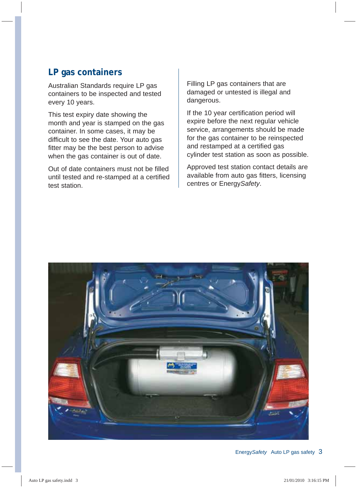## **LP gas containers**

Australian Standards require LP gas containers to be inspected and tested every 10 years.

This test expiry date showing the month and year is stamped on the gas container. In some cases, it may be difficult to see the date. Your auto gas fitter may be the best person to advise when the gas container is out of date.

Out of date containers must not be filled until tested and re-stamped at a certified test station.

Filling LP gas containers that are damaged or untested is illegal and dangerous.

If the 10 year certification period will expire before the next regular vehicle service, arrangements should be made for the gas container to be reinspected and restamped at a certified gas cylinder test station as soon as possible.

Approved test station contact details are available from auto gas fitters, licensing centres or Energy*Safety*.

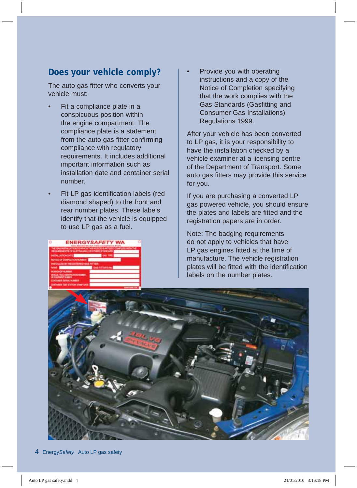# **Does your vehicle comply?**

The auto gas fitter who converts your vehicle must:

- Fit a compliance plate in a conspicuous position within the engine compartment. The compliance plate is a statement from the auto gas fitter confirming compliance with regulatory requirements. It includes additional important information such as installation date and container serial number.
- Fit LP gas identification labels (red diamond shaped) to the front and rear number plates. These labels identify that the vehicle is equipped to use LP gas as a fuel.



• Provide you with operating instructions and a copy of the Notice of Completion specifying that the work complies with the Gas Standards (Gasfitting and Consumer Gas Installations) Regulations 1999.

After your vehicle has been converted to LP gas, it is your responsibility to have the installation checked by a vehicle examiner at a licensing centre of the Department of Transport. Some auto gas fitters may provide this service for you.

If you are purchasing a converted LP gas powered vehicle, you should ensure the plates and labels are fitted and the registration papers are in order.

Note: The badging requirements do not apply to vehicles that have LP gas engines fitted at the time of manufacture. The vehicle registration plates will be fitted with the identification labels on the number plates.

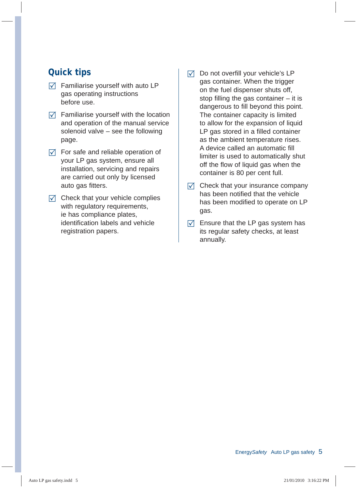## **Quick tips**

- $\triangledown$  Familiarise yourself with auto LP gas operating instructions before use.
- $\triangledown$  Familiarise yourself with the location and operation of the manual service solenoid valve – see the following page.
- $\triangledown$  For safe and reliable operation of your LP gas system, ensure all installation, servicing and repairs are carried out only by licensed auto gas fitters.
- $\nabla$  Check that your vehicle complies with regulatory requirements, ie has compliance plates, identification labels and vehicle registration papers.
- $\nabla$  Do not overfill your vehicle's LP gas container. When the trigger on the fuel dispenser shuts off, stop filling the gas container  $-$  it is dangerous to fill beyond this point. The container capacity is limited to allow for the expansion of liquid LP gas stored in a filled container as the ambient temperature rises. A device called an automatic fill limiter is used to automatically shut off the flow of liquid gas when the container is 80 per cent full.
- $\triangledown$  Check that your insurance company has been notified that the vehicle has been modified to operate on LP gas.
- $\triangledown$  Ensure that the LP gas system has its regular safety checks, at least annually.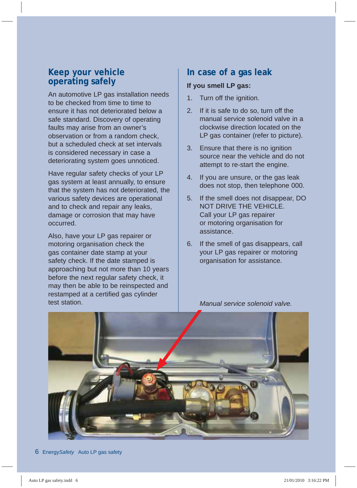## **Keep your vehicle operating safely**

An automotive LP gas installation needs to be checked from time to time to ensure it has not deteriorated below a safe standard. Discovery of operating faults may arise from an owner's observation or from a random check, but a scheduled check at set intervals is considered necessary in case a deteriorating system goes unnoticed.

Have regular safety checks of your LP gas system at least annually, to ensure that the system has not deteriorated, the various safety devices are operational and to check and repair any leaks, damage or corrosion that may have occurred.

Also, have your LP gas repairer or motoring organisation check the gas container date stamp at your safety check. If the date stamped is approaching but not more than 10 years before the next regular safety check, it may then be able to be reinspected and restamped at a certified gas cylinder test station.

## **In case of a gas leak**

#### **If you smell LP gas:**

- 1. Turn off the ignition.
- 2. If it is safe to do so, turn off the manual service solenoid valve in a clockwise direction located on the LP gas container (refer to picture).
- 3. Ensure that there is no ignition source near the vehicle and do not attempt to re-start the engine.
- 4. If you are unsure, or the gas leak does not stop, then telephone 000.
- 5. If the smell does not disappear, DO NOT DRIVE THE VEHICLE. Call your LP gas repairer or motoring organisation for assistance.
- 6. If the smell of gas disappears, call your LP gas repairer or motoring organisation for assistance.



 *Manual service solenoid valve.*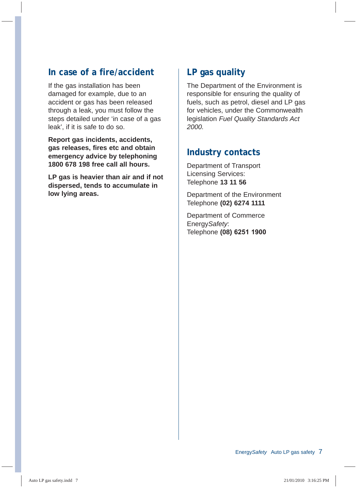## **In case of a fire/accident**

If the gas installation has been damaged for example, due to an accident or gas has been released through a leak, you must follow the steps detailed under 'in case of a gas leak', if it is safe to do so.

**Report gas incidents, accidents, gas releases, fires etc and obtain emergency advice by telephoning 1800 678 198 free call all hours.**

**LP gas is heavier than air and if not dispersed, tends to accumulate in low lying areas.**

## **LP gas quality**

The Department of the Environment is responsible for ensuring the quality of fuels, such as petrol, diesel and LP gas for vehicles, under the Commonwealth legislation *Fuel Quality Standards Act 2000.*

## **Industry contacts**

Department of Transport Licensing Services: Telephone **13 11 56**

Department of the Environment Telephone **(02) 6274 1111**

Department of Commerce Energy*Safety*: Telephone **(08) 6251 1900**